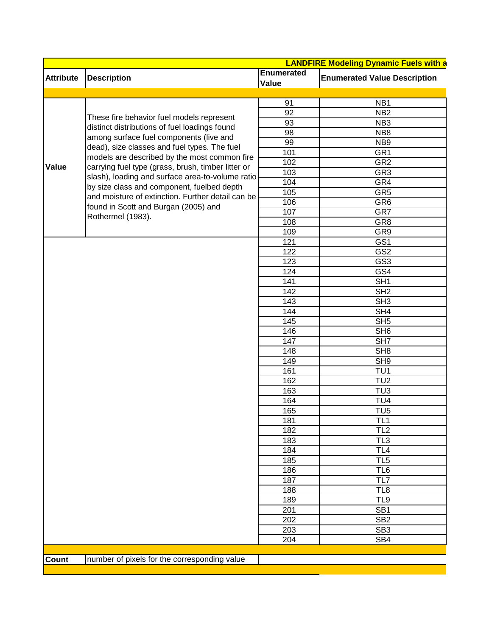|                  |                                                    |                            | <b>LANDFIRE Modeling Dynamic Fuels with a</b> |
|------------------|----------------------------------------------------|----------------------------|-----------------------------------------------|
| <b>Attribute</b> | <b>Description</b>                                 | <b>Enumerated</b><br>Value | <b>Enumerated Value Description</b>           |
|                  |                                                    |                            |                                               |
|                  |                                                    | 91                         | NB <sub>1</sub>                               |
|                  | These fire behavior fuel models represent          | 92                         | NB <sub>2</sub>                               |
|                  | distinct distributions of fuel loadings found      | 93                         | NB <sub>3</sub>                               |
|                  | among surface fuel components (live and            | 98                         | NB8                                           |
|                  | dead), size classes and fuel types. The fuel       | 99                         | NB <sub>9</sub>                               |
|                  | models are described by the most common fire       | 101                        | GR <sub>1</sub>                               |
| <b>Value</b>     | carrying fuel type (grass, brush, timber litter or | 102                        | GR <sub>2</sub>                               |
|                  | slash), loading and surface area-to-volume ratio   | 103                        | GR <sub>3</sub>                               |
|                  | by size class and component, fuelbed depth         | 104                        | GR4                                           |
|                  | and moisture of extinction. Further detail can be  | 105                        | GR <sub>5</sub>                               |
|                  | found in Scott and Burgan (2005) and               | 106                        | GR <sub>6</sub>                               |
|                  | Rothermel (1983).                                  | 107                        | GR7                                           |
|                  |                                                    | 108                        | GR8                                           |
|                  |                                                    | 109                        | GR9                                           |
|                  |                                                    | 121                        | GS1                                           |
|                  |                                                    | 122                        | GS <sub>2</sub>                               |
|                  |                                                    | 123                        | GS <sub>3</sub>                               |
|                  |                                                    | 124                        | GS4                                           |
|                  |                                                    | 141                        | SH <sub>1</sub>                               |
|                  |                                                    | 142                        | SH <sub>2</sub>                               |
|                  |                                                    | 143                        | SH3                                           |
|                  |                                                    | 144                        | SH4                                           |
|                  |                                                    | 145                        | SH5                                           |
|                  |                                                    | 146                        | SH <sub>6</sub>                               |
|                  |                                                    | 147                        | $\overline{\text{SH7}}$                       |
|                  |                                                    | 148                        | SH8                                           |
|                  |                                                    | 149                        | SH9                                           |
|                  |                                                    | 161                        | TU <sub>1</sub>                               |
|                  |                                                    | 162                        | TU2                                           |
|                  |                                                    | 163                        | TU3                                           |
|                  |                                                    | 164                        | TU <sub>4</sub>                               |
|                  |                                                    | 165                        | TU <sub>5</sub>                               |
|                  |                                                    | 181                        | TL1                                           |
|                  |                                                    | 182                        | TL <sub>2</sub>                               |
|                  |                                                    | 183                        | TL <sub>3</sub>                               |
|                  |                                                    | 184                        | TL4                                           |
|                  |                                                    | 185                        | TL <sub>5</sub>                               |
|                  |                                                    | 186                        | TL <sub>6</sub>                               |
|                  |                                                    | 187                        | TL7                                           |
|                  |                                                    | 188                        | TL <sub>8</sub>                               |
|                  |                                                    | 189                        | TL9                                           |
|                  |                                                    | 201                        | SB <sub>1</sub>                               |
|                  |                                                    | 202                        | SB <sub>2</sub>                               |
|                  |                                                    | 203                        | SB <sub>3</sub>                               |
|                  |                                                    | 204                        | SB4                                           |
|                  |                                                    |                            |                                               |
| Count            | number of pixels for the corresponding value       |                            |                                               |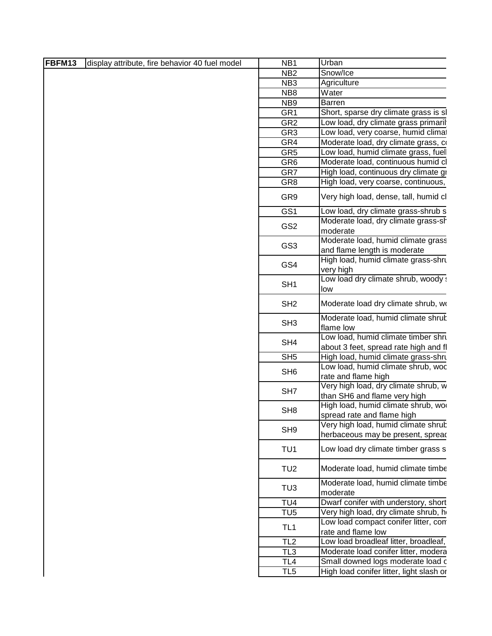| FBFM13 | display attribute, fire behavior 40 fuel model | NB <sub>1</sub> | Urban                                                                |  |
|--------|------------------------------------------------|-----------------|----------------------------------------------------------------------|--|
|        |                                                | NB <sub>2</sub> | Snow/Ice                                                             |  |
|        |                                                | NB <sub>3</sub> | Agriculture                                                          |  |
|        |                                                | NB8             | Water                                                                |  |
|        |                                                | NB <sub>9</sub> | Barren                                                               |  |
|        |                                                | GR <sub>1</sub> | Short, sparse dry climate grass is sl                                |  |
|        |                                                | GR <sub>2</sub> | Low load, dry climate grass primaril                                 |  |
|        |                                                | GR <sub>3</sub> | Low load, very coarse, humid climat                                  |  |
|        |                                                | GR4             | Moderate load, dry climate grass, co                                 |  |
|        |                                                | GR <sub>5</sub> | Low load, humid climate grass, fuell                                 |  |
|        |                                                | GR <sub>6</sub> | Moderate load, continuous humid cl                                   |  |
|        |                                                | GR7             | High load, continuous dry climate gr                                 |  |
|        |                                                | GR <sub>8</sub> | High load, very coarse, continuous,                                  |  |
|        |                                                | GR9             | Very high load, dense, tall, humid cl                                |  |
|        |                                                | GS1             | Low load, dry climate grass-shrub s                                  |  |
|        |                                                |                 | Moderate load, dry climate grass-sh                                  |  |
|        |                                                | GS <sub>2</sub> | moderate                                                             |  |
|        |                                                |                 | Moderate load, humid climate grass                                   |  |
|        |                                                | GS <sub>3</sub> | and flame length is moderate                                         |  |
|        |                                                | GS4             | High load, humid climate grass-shru<br>very high                     |  |
|        |                                                | SH <sub>1</sub> | Low load dry climate shrub, woody a<br>llow                          |  |
|        |                                                | SH <sub>2</sub> | Moderate load dry climate shrub, wo                                  |  |
|        |                                                | SH <sub>3</sub> | Moderate load, humid climate shruk<br>flame low                      |  |
|        |                                                |                 | Low load, humid climate timber shru                                  |  |
|        |                                                | SH4             | about 3 feet, spread rate high and fl                                |  |
|        |                                                | SH <sub>5</sub> | High load, humid climate grass-shru                                  |  |
|        |                                                | SH <sub>6</sub> | Low load, humid climate shrub, woc                                   |  |
|        |                                                |                 | rate and flame high                                                  |  |
|        |                                                | SH <sub>7</sub> | Very high load, dry climate shrub, w<br>than SH6 and flame very high |  |
|        |                                                | SH <sub>8</sub> | High load, humid climate shrub, woo<br>spread rate and flame high    |  |
|        |                                                |                 | Very high load, humid climate shrub                                  |  |
|        |                                                | SH <sub>9</sub> | herbaceous may be present, spread                                    |  |
|        |                                                | TU <sub>1</sub> | Low load dry climate timber grass s                                  |  |
|        |                                                | TU <sub>2</sub> | Moderate load, humid climate timbe                                   |  |
|        |                                                | TU <sub>3</sub> | Moderate load, humid climate timbe<br>moderate                       |  |
|        |                                                | TU <sub>4</sub> | Dwarf conifer with understory, short                                 |  |
|        |                                                | TU <sub>5</sub> | Very high load, dry climate shrub, he                                |  |
|        |                                                | TL <sub>1</sub> | Low load compact conifer litter, con                                 |  |
|        |                                                |                 | rate and flame low                                                   |  |
|        |                                                | TL <sub>2</sub> | Low load broadleaf litter, broadleaf,                                |  |
|        |                                                | TL <sub>3</sub> | Moderate load conifer litter, modera                                 |  |
|        |                                                | TL4             | Small downed logs moderate load c                                    |  |
|        |                                                | TL <sub>5</sub> | High load conifer litter, light slash or                             |  |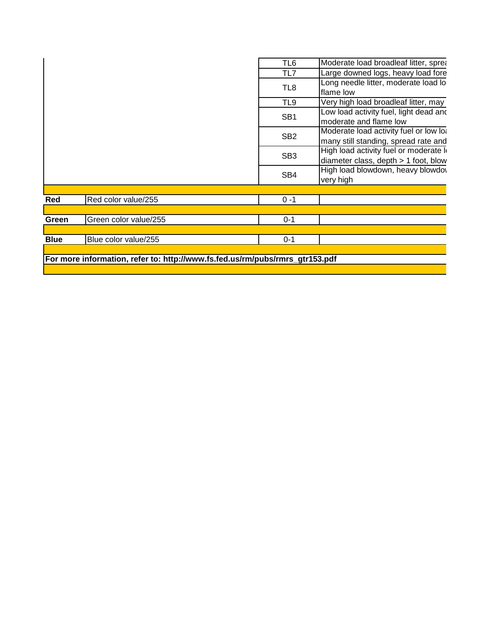|             |                                                                              | TL <sub>6</sub> | Moderate load broadleaf litter, sprea                                            |
|-------------|------------------------------------------------------------------------------|-----------------|----------------------------------------------------------------------------------|
|             |                                                                              | TL7             | Large downed logs, heavy load fore                                               |
|             |                                                                              | TL8             | Long needle litter, moderate load lo                                             |
|             |                                                                              |                 | flame low                                                                        |
|             |                                                                              | TL9             | Very high load broadleaf litter, may I                                           |
|             |                                                                              | SB <sub>1</sub> | Low load activity fuel, light dead and<br>moderate and flame low                 |
|             |                                                                              | SB <sub>2</sub> | Moderate load activity fuel or low lot<br>many still standing, spread rate and   |
|             |                                                                              | SB <sub>3</sub> | High load activity fuel or moderate In<br>diameter class, depth $> 1$ foot, blow |
|             |                                                                              | SB4             | High load blowdown, heavy blowdov<br>very high                                   |
|             |                                                                              |                 |                                                                                  |
| Red         | Red color value/255                                                          | $0 - 1$         |                                                                                  |
|             |                                                                              |                 |                                                                                  |
| Green       | Green color value/255                                                        | $0 - 1$         |                                                                                  |
|             |                                                                              |                 |                                                                                  |
| <b>Blue</b> | Blue color value/255                                                         | $0 - 1$         |                                                                                  |
|             |                                                                              |                 |                                                                                  |
|             | For more information, refer to: http://www.fs.fed.us/rm/pubs/rmrs_gtr153.pdf |                 |                                                                                  |
|             |                                                                              |                 |                                                                                  |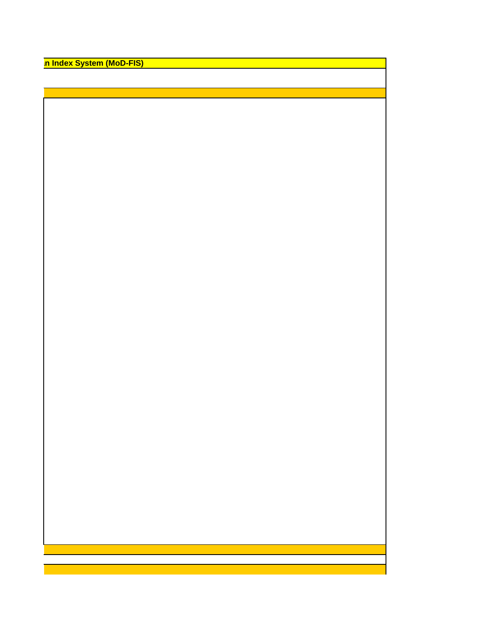**n Index System (MoD-FIS)**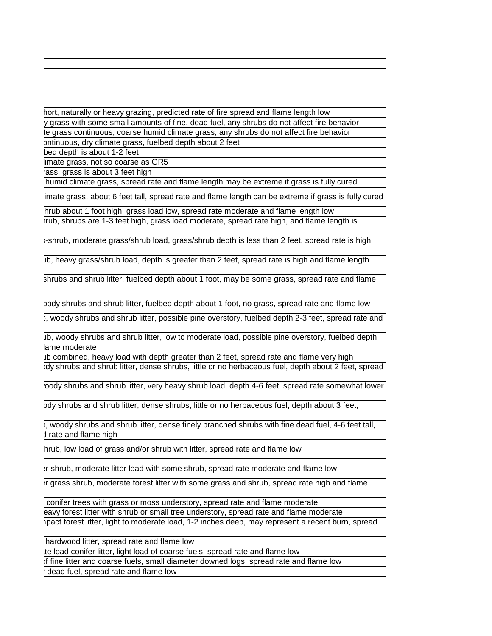hort, naturally or heavy grazing, predicted rate of fire spread and flame length low y grass with some small amounts of fine, dead fuel, any shrubs do not affect fire behavior te grass continuous, coarse humid climate grass, any shrubs do not affect fire behavior ontinuous, dry climate grass, fuelbed depth about 2 feet

bed depth is about 1-2 feet

limate grass, not so coarse as GR5

rass, grass is about 3 feet high

humid climate grass, spread rate and flame length may be extreme if grass is fully cured

imate grass, about 6 feet tall, spread rate and flame length can be extreme if grass is fully cured

hrub about 1 foot high, grass load low, spread rate moderate and flame length low

irub, shrubs are 1-3 feet high, grass load moderate, spread rate high, and flame length is

i-shrub, moderate grass/shrub load, grass/shrub depth is less than 2 feet, spread rate is high

Ib, heavy grass/shrub load, depth is greater than 2 feet, spread rate is high and flame length

shrubs and shrub litter, fuelbed depth about 1 foot, may be some grass, spread rate and flame

body shrubs and shrub litter, fuelbed depth about 1 foot, no grass, spread rate and flame low

), woody shrubs and shrub litter, possible pine overstory, fuelbed depth 2-3 feet, spread rate and

Lo, woody shrubs and shrub litter, low to moderate load, possible pine overstory, fuelbed depth lame moderate

Ib combined, heavy load with depth greater than 2 feet, spread rate and flame very high low shrubs and shrub litter, dense shrubs, little or no herbaceous fuel, depth about 2 feet, spread

oody shrubs and shrub litter, very heavy shrub load, depth 4-6 feet, spread rate somewhat lower

bdy shrubs and shrub litter, dense shrubs, little or no herbaceous fuel, depth about 3 feet,

), woody shrubs and shrub litter, dense finely branched shrubs with fine dead fuel, 4-6 feet tall, d rate and flame high

hrub, low load of grass and/or shrub with litter, spread rate and flame low

 $H$ -shrub, moderate litter load with some shrub, spread rate moderate and flame low

It grass shrub, moderate forest litter with some grass and shrub, spread rate high and flame

conifer trees with grass or moss understory, spread rate and flame moderate eavy forest litter with shrub or small tree understory, spread rate and flame moderate ipact forest litter, light to moderate load, 1-2 inches deep, may represent a recent burn, spread

hardwood litter, spread rate and flame low

Ite load conifer litter, light load of coarse fuels, spread rate and flame low

of fine litter and coarse fuels, small diameter downed logs, spread rate and flame low

 $\overline{\cdot}$  dead fuel, spread rate and flame low